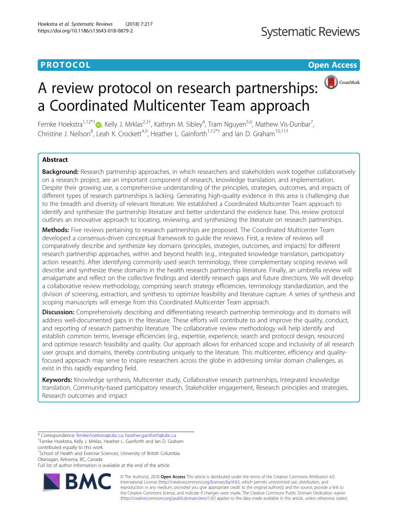# **PROTOCOL CONSUMING THE OPEN ACCESS**

# A review protocol on research partnerships: a Coordinated Multicenter Team approach

Femke Hoekstra<sup>1[,](http://orcid.org/0000-0002-0068-652X)12\*†</sup>®, Kelly J. Mrklas<sup>2,3†</sup>, Kathryn M. Sibley<sup>4</sup>, Tram Nguyen<sup>5,6</sup>, Mathew Vis-Dunbar<sup>7</sup> , Christine J. Neilson<sup>8</sup>, Leah K. Crockett<sup>4,9</sup>, Heather L. Gainforth<sup>1,12\*†</sup> and Ian D. Graham<sup>10,11†</sup>

# Abstract

Background: Research partnership approaches, in which researchers and stakeholders work together collaboratively on a research project, are an important component of research, knowledge translation, and implementation. Despite their growing use, a comprehensive understanding of the principles, strategies, outcomes, and impacts of different types of research partnerships is lacking. Generating high-quality evidence in this area is challenging due to the breadth and diversity of relevant literature. We established a Coordinated Multicenter Team approach to identify and synthesize the partnership literature and better understand the evidence base. This review protocol outlines an innovative approach to locating, reviewing, and synthesizing the literature on research partnerships.

Methods: Five reviews pertaining to research partnerships are proposed. The Coordinated Multicenter Team developed a consensus-driven conceptual framework to guide the reviews. First, a review of reviews will comparatively describe and synthesize key domains (principles, strategies, outcomes, and impacts) for different research partnership approaches, within and beyond health (e.g., integrated knowledge translation, participatory action research). After identifying commonly used search terminology, three complementary scoping reviews will describe and synthesize these domains in the health research partnership literature. Finally, an umbrella review will amalgamate and reflect on the collective findings and identify research gaps and future directions. We will develop a collaborative review methodology, comprising search strategy efficiencies, terminology standardization, and the division of screening, extraction, and synthesis to optimize feasibility and literature capture. A series of synthesis and scoping manuscripts will emerge from this Coordinated Multicenter Team approach.

Discussion: Comprehensively describing and differentiating research partnership terminology and its domains will address well-documented gaps in the literature. These efforts will contribute to and improve the quality, conduct, and reporting of research partnership literature. The collaborative review methodology will help identify and establish common terms, leverage efficiencies (e.g., expertise, experience, search and protocol design, resources) and optimize research feasibility and quality. Our approach allows for enhanced scope and inclusivity of all research user groups and domains, thereby contributing uniquely to the literature. This multicenter, efficiency and qualityfocused approach may serve to inspire researchers across the globe in addressing similar domain challenges, as exist in this rapidly expanding field.

Keywords: Knowledge synthesis, Multicenter study, Collaborative research partnerships, Integrated knowledge translation, Community-based participatory research, Stakeholder engagement, Research principles and strategies, Research outcomes and impact

Femke Hoekstra, Kelly J. Mrklas, Heather L. Gainforth and Ian D. Graham contributed equally to this work.

<sup>1</sup>School of Health and Exercise Sciences, University of British Columbia Okanagan, Kelowna, BC, Canada

Full list of author information is available at the end of the article



© The Author(s). 2018 Open Access This article is distributed under the terms of the Creative Commons Attribution 4.0 International License [\(http://creativecommons.org/licenses/by/4.0/](http://creativecommons.org/licenses/by/4.0/)), which permits unrestricted use, distribution, and reproduction in any medium, provided you give appropriate credit to the original author(s) and the source, provide a link to the Creative Commons license, and indicate if changes were made. The Creative Commons Public Domain Dedication waiver [\(http://creativecommons.org/publicdomain/zero/1.0/](http://creativecommons.org/publicdomain/zero/1.0/)) applies to the data made available in this article, unless otherwise stated.

<sup>\*</sup> Correspondence: [femke.hoekstra@ubc.ca;](mailto:femke.hoekstra@ubc.ca) [heather.gainforth@ubc.ca](mailto:heather.gainforth@ubc.ca) †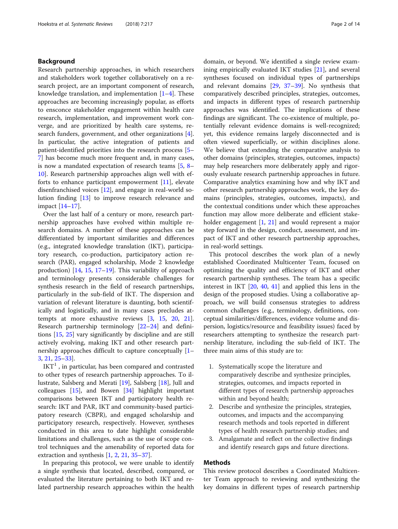# Background

Research partnership approaches, in which researchers and stakeholders work together collaboratively on a research project, are an important component of research, knowledge translation, and implementation [[1](#page-11-0)–[4\]](#page-11-0). These approaches are becoming increasingly popular, as efforts to ensconce stakeholder engagement within health care research, implementation, and improvement work converge, and are prioritized by health care systems, research funders, government, and other organizations [\[4](#page-11-0)]. In particular, the active integration of patients and patient-identified priorities into the research process [[5](#page-11-0)– [7\]](#page-11-0) has become much more frequent and, in many cases, is now a mandated expectation of research teams [\[5](#page-11-0), [8](#page-11-0)– [10\]](#page-11-0). Research partnership approaches align well with efforts to enhance participant empowerment [[11](#page-11-0)], elevate disenfranchised voices [\[12](#page-11-0)], and engage in real-world solution finding [[13\]](#page-11-0) to improve research relevance and impact [[14](#page-11-0)–[17](#page-11-0)].

Over the last half of a century or more, research partnership approaches have evolved within multiple research domains. A number of these approaches can be differentiated by important similarities and differences (e.g., integrated knowledge translation (IKT), participatory research, co-production, participatory action research (PAR), engaged scholarship, Mode 2 knowledge production) [[14](#page-11-0), [15,](#page-11-0) [17](#page-11-0)–[19\]](#page-11-0). This variability of approach and terminology presents considerable challenges for synthesis research in the field of research partnerships, particularly in the sub-field of IKT. The dispersion and variation of relevant literature is daunting, both scientifically and logistically, and in many cases precludes attempts at more exhaustive reviews [[3,](#page-11-0) [15,](#page-11-0) [20](#page-11-0), [21](#page-11-0)]. Research partnership terminology [\[22](#page-11-0)–[24\]](#page-11-0) and definitions [\[15](#page-11-0), [25](#page-12-0)] vary significantly by discipline and are still actively evolving, making IKT and other research partnership approaches difficult to capture conceptually [[1](#page-11-0)– [3,](#page-11-0) [21](#page-11-0), [25](#page-12-0)–[33](#page-12-0)].

 $IKT<sup>1</sup>$ , in particular, has been compared and contrasted to other types of research partnership approaches. To illustrate, Salsberg and Merati [[19\]](#page-11-0), Salsberg [\[18](#page-11-0)], Jull and colleagues  $[15]$  $[15]$ , and Bowen  $[34]$  $[34]$  highlight important comparisons between IKT and participatory health research: IKT and PAR, IKT and community-based participatory research (CBPR), and engaged scholarship and participatory research, respectively. However, syntheses conducted in this area to date highlight considerable limitations and challenges, such as the use of scope control techniques and the amenability of reported data for extraction and synthesis [\[1](#page-11-0), [2](#page-11-0), [21](#page-11-0), [35](#page-12-0)–[37\]](#page-12-0).

In preparing this protocol, we were unable to identify a single synthesis that located, described, compared, or evaluated the literature pertaining to both IKT and related partnership research approaches within the health domain, or beyond. We identified a single review examining empirically evaluated IKT studies [\[21](#page-11-0)], and several syntheses focused on individual types of partnerships and relevant domains [\[29](#page-12-0), [37](#page-12-0)–[39\]](#page-12-0). No synthesis that comparatively described principles, strategies, outcomes, and impacts in different types of research partnership approaches was identified. The implications of these findings are significant. The co-existence of multiple, potentially relevant evidence domains is well-recognized; yet, this evidence remains largely disconnected and is often viewed superficially, or within disciplines alone. We believe that extending the comparative analysis to other domains (principles, strategies, outcomes, impacts) may help researchers more deliberately apply and rigorously evaluate research partnership approaches in future. Comparative analytics examining how and why IKT and other research partnership approaches work, the key domains (principles, strategies, outcomes, impacts), and the contextual conditions under which these approaches function may allow more deliberate and efficient stakeholder engagement  $\begin{bmatrix} 1 \\ 21 \end{bmatrix}$  $\begin{bmatrix} 1 \\ 21 \end{bmatrix}$  $\begin{bmatrix} 1 \\ 21 \end{bmatrix}$  $\begin{bmatrix} 1 \\ 21 \end{bmatrix}$  $\begin{bmatrix} 1 \\ 21 \end{bmatrix}$  and would represent a major step forward in the design, conduct, assessment, and impact of IKT and other research partnership approaches, in real-world settings.

This protocol describes the work plan of a newly established Coordinated Multicenter Team, focused on optimizing the quality and efficiency of IKT and other research partnership syntheses. The team has a specific interest in IKT [\[20](#page-11-0), [40](#page-12-0), [41\]](#page-12-0) and applied this lens in the design of the proposed studies. Using a collaborative approach, we will build consensus strategies to address common challenges (e.g., terminology, definitions, conceptual similarities/differences, evidence volume and dispersion, logistics/resource and feasibility issues) faced by researchers attempting to synthesize the research partnership literature, including the sub-field of IKT. The three main aims of this study are to:

- 1. Systematically scope the literature and comparatively describe and synthesize principles, strategies, outcomes, and impacts reported in different types of research partnership approaches within and beyond health;
- 2. Describe and synthesize the principles, strategies, outcomes, and impacts and the accompanying research methods and tools reported in different types of health research partnership studies; and
- 3. Amalgamate and reflect on the collective findings and identify research gaps and future directions.

#### Methods

This review protocol describes a Coordinated Multicenter Team approach to reviewing and synthesizing the key domains in different types of research partnership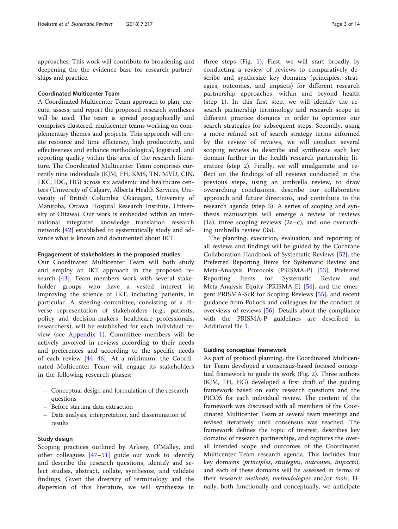approaches. This work will contribute to broadening and deepening the the evidence base for research partnerships and practice.

# Coordinated Multicenter Team

A Coordinated Multicenter Team approach to plan, execute, assess, and report the proposed research syntheses will be used. The team is spread geographically and comprises clustered, multicenter teams working on complementary themes and projects. This approach will create resource and time efficiency, high productivity, and effectiveness and enhance methodological, logistical, and reporting quality within this area of the research literature. The Coordinated Multicenter Team comprises currently nine individuals (KJM, FH, KMS, TN, MVD, CJN, LKC, IDG, HG) across six academic and healthcare centers (University of Calgary, Alberta Health Services, University of British Columbia Okanagan, University of Manitoba, Ottawa Hospital Research Institute, University of Ottawa). Our work is embedded within an international integrated knowledge translation research network [[42\]](#page-12-0) established to systematically study and advance what is known and documented about IKT.

#### Engagement of stakeholders in the proposed studies

Our Coordinated Multicenter Team will both study and employ an IKT approach in the proposed research [\[43](#page-12-0)]. Team members work with several stakeholder groups who have a vested interest in improving the science of IKT, including patients, in particular. A steering committee, consisting of a diverse representation of stakeholders (e.g., patients, policy and decision-makers, healthcare professionals, researchers), will be established for each individual review (see [Appendix 1\)](#page-9-0). Committee members will be actively involved in reviews according to their needs and preferences and according to the specific needs of each review [[44](#page-12-0)–[46\]](#page-12-0). At a minimum, the Coordinated Multicenter Team will engage its stakeholders in the following research phases:

- Conceptual design and formulation of the research questions
- Before starting data extraction
- Data analysis, interpretation, and dissemination of results

#### Study design

Scoping practices outlined by Arksey, O'Malley, and other colleagues [[47](#page-12-0)–[51\]](#page-12-0) guide our work to identify and describe the research questions, identify and select studies, abstract, collate, synthesize, and validate findings. Given the diversity of terminology and the dispersion of this literature, we will synthesize in

three steps (Fig. [1\)](#page-3-0). First, we will start broadly by conducting a review of reviews to comparatively describe and synthesize key domains (principles, strategies, outcomes, and impacts) for different research partnership approaches, within and beyond health (step 1). In this first step, we will identify the research partnership terminology and research scope in different practice domains in order to optimize our search strategies for subsequent steps. Secondly, using a more refined set of search strategy terms informed by the review of reviews, we will conduct several scoping reviews to describe and synthesize each key domain further in the health research partnership literature (step 2). Finally, we will amalgamate and reflect on the findings of all reviews conducted in the previous steps, using an umbrella review, to draw overarching conclusions, describe our collaborative approach and future directions, and contribute to the research agenda (step 3). A series of scoping and synthesis manuscripts will emerge a review of reviews (1a), three scoping reviews (2a–c), and one overarching umbrella review (3a).

The planning, execution, evaluation, and reporting of all reviews and findings will be guided by the Cochrane Collaboration Handbook of Systematic Reviews [\[52](#page-12-0)], the Preferred Reporting Items for Systematic Review and Meta-Analysis Protocols (PRISMA-P) [\[53](#page-12-0)], Preferred Reporting Items for Systematic Review and Meta-Analysis Equity (PRISMA-E) [[54\]](#page-12-0), and the emergent PRISMA-ScR for Scoping Reviews [[55](#page-12-0)], and recent guidance from Pollock and colleagues for the conduct of overviews of reviews [[56](#page-12-0)]. Details about the compliance with the PRISMA-P guidelines are described in Additional file [1](#page-9-0).

#### Guiding conceptual framework

As part of protocol planning, the Coordinated Multicenter Team developed a consensus-based focused conceptual framework to guide its work (Fig. [2](#page-4-0)). Three authors (KJM, FH, HG) developed a first draft of the guiding framework based on early research questions and the PICOS for each individual review. The content of the framework was discussed with all members of the Coordinated Multicenter Team at several team meetings and revised iteratively until consensus was reached. The framework defines the topic of interest, describes key domains of research partnerships, and captures the overall intended scope and outcomes of the Coordinated Multicenter Team research agenda. This includes four key domains (principles, strategies, outcomes, impacts), and each of these domains will be assessed in terms of their research methods, methodologies and/or tools. Finally, both functionally and conceptually, we anticipate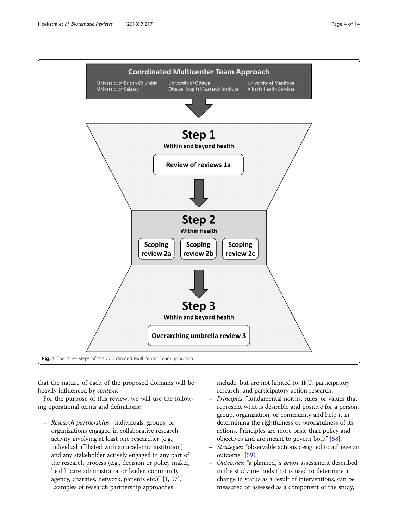<span id="page-3-0"></span>

that the nature of each of the proposed domains will be heavily influenced by context.

For the purpose of this review, we will use the following operational terms and definitions:

– Research partnerships: "individuals, groups, or organizations engaged in collaborative research activity involving at least one researcher (e.g., individual affiliated with an academic institution) and any stakeholder actively engaged in any part of the research process (e.g., decision or policy maker, health care administrator or leader, community agency, charities, network, patients etc.)"  $[1, 57]$  $[1, 57]$  $[1, 57]$  $[1, 57]$  $[1, 57]$ . Examples of research partnership approaches

include, but are not limited to, IKT, participatory research, and participatory action research.

- Principles: "fundamental norms, rules, or values that represent what is desirable and positive for a person, group, organization, or community and help it in determining the rightfulness or wrongfulness of its actions. Principles are more basic than policy and objectives and are meant to govern both" [[58](#page-12-0)].
- Strategies: "observable actions designed to achieve an outcome" [\[59\]](#page-12-0).
- Outcomes: "a planned, a priori assessment described in the study methods that is used to determine a change in status as a result of interventions, can be measured or assessed as a component of the study,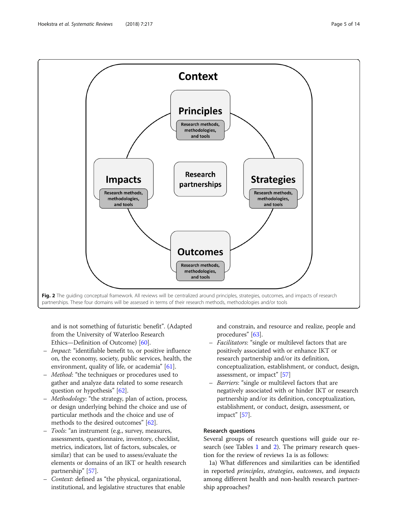<span id="page-4-0"></span>Hoekstra et al. Systematic Reviews (2018) 7:217



and is not something of futuristic benefit". (Adapted from the University of Waterloo Research Ethics—Definition of Outcome) [[60\]](#page-12-0).

- Impact: "identifiable benefit to, or positive influence on, the economy, society, public services, health, the environment, quality of life, or academia" [[61\]](#page-12-0).
- Method: "the techniques or procedures used to gather and analyze data related to some research question or hypothesis" [\[62\]](#page-12-0).
- Methodology: "the strategy, plan of action, process, or design underlying behind the choice and use of particular methods and the choice and use of methods to the desired outcomes" [[62\]](#page-12-0).
- Tools: "an instrument (e.g., survey, measures, assessments, questionnaire, inventory, checklist, metrics, indicators, list of factors, subscales, or similar) that can be used to assess/evaluate the elements or domains of an IKT or health research partnership" [\[57\]](#page-12-0).
- Context: defined as "the physical, organizational, institutional, and legislative structures that enable

and constrain, and resource and realize, people and procedures" [[63](#page-12-0)].

- Facilitators: "single or multilevel factors that are positively associated with or enhance IKT or research partnership and/or its definition, conceptualization, establishment, or conduct, design, assessment, or impact" [[57](#page-12-0)]
- Barriers: "single or multilevel factors that are negatively associated with or hinder IKT or research partnership and/or its definition, conceptualization, establishment, or conduct, design, assessment, or impact" [[57](#page-12-0)].

# Research questions

Several groups of research questions will guide our re-search (see Tables [1](#page-5-0) and [2](#page-5-0)). The primary research question for the review of reviews 1a is as follows:

1a) What differences and similarities can be identified in reported principles, strategies, outcomes, and impacts among different health and non-health research partnership approaches?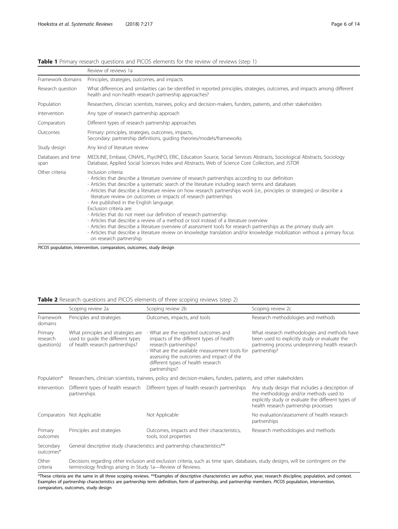|                            | Review of reviews 1a                                                                                                                                                                                                                                                                                                                                                                                                                                                                                                                                                                                                                                                                                                                                                                                                                                                                                                                                               |  |  |
|----------------------------|--------------------------------------------------------------------------------------------------------------------------------------------------------------------------------------------------------------------------------------------------------------------------------------------------------------------------------------------------------------------------------------------------------------------------------------------------------------------------------------------------------------------------------------------------------------------------------------------------------------------------------------------------------------------------------------------------------------------------------------------------------------------------------------------------------------------------------------------------------------------------------------------------------------------------------------------------------------------|--|--|
| Framework domains          | Principles, strategies, outcomes, and impacts                                                                                                                                                                                                                                                                                                                                                                                                                                                                                                                                                                                                                                                                                                                                                                                                                                                                                                                      |  |  |
| Research question          | What differences and similarities can be identified in reported principles, strategies, outcomes, and impacts among different<br>health and non-health research partnership approaches?                                                                                                                                                                                                                                                                                                                                                                                                                                                                                                                                                                                                                                                                                                                                                                            |  |  |
| Population                 | Researchers, clinician scientists, trainees, policy and decision-makers, funders, patients, and other stakeholders                                                                                                                                                                                                                                                                                                                                                                                                                                                                                                                                                                                                                                                                                                                                                                                                                                                 |  |  |
| Intervention               | Any type of research partnership approach                                                                                                                                                                                                                                                                                                                                                                                                                                                                                                                                                                                                                                                                                                                                                                                                                                                                                                                          |  |  |
| Comparators                | Different types of research partnership approaches                                                                                                                                                                                                                                                                                                                                                                                                                                                                                                                                                                                                                                                                                                                                                                                                                                                                                                                 |  |  |
| Outcomes                   | Primary: principles, strategies, outcomes, impacts,<br>Secondary: partnership definitions, quiding theories/models/frameworks                                                                                                                                                                                                                                                                                                                                                                                                                                                                                                                                                                                                                                                                                                                                                                                                                                      |  |  |
| Study design               | Any kind of literature review                                                                                                                                                                                                                                                                                                                                                                                                                                                                                                                                                                                                                                                                                                                                                                                                                                                                                                                                      |  |  |
| Databases and time<br>span | MEDLINE, Embase, CINAHL, PsycINFO, ERIC, Education Source, Social Services Abstracts, Sociological Abstracts, Sociology<br>Database, Applied Social Sciences Index and Abstracts, Web of Science Core Collection, and JSTOR                                                                                                                                                                                                                                                                                                                                                                                                                                                                                                                                                                                                                                                                                                                                        |  |  |
| Other criteria             | Inclusion criteria:<br>- Articles that describe a literature overview of research partnerships according to our definition<br>- Articles that describe a systematic search of the literature including search terms and databases<br>- Articles that describe a literature review on how research partnerships work (i.e., principles or strategies) or describe a<br>literature review on outcomes or impacts of research partnerships<br>- Are published in the English language.<br>Exclusion criteria are:<br>- Articles that do not meet our definition of research partnership<br>- Articles that describe a review of a method or tool instead of a literature overview<br>- Articles that describe a literature overview of assessment tools for research partnerships as the primary study aim<br>- Articles that describe a literature review on knowledge translation and/or knowledge mobilization without a primary focus<br>on research partnership. |  |  |

# <span id="page-5-0"></span>Table 1 Primary research questions and PICOS elements for the review of reviews (step 1)

PICOS population, intervention, comparators, outcomes, study design

# Table 2 Research questions and PICOS elements of three scoping reviews (step 2)

|                                    | Scoping review 2a                                                                                                                                                                                 | Scoping review 2b                                                                                                                                                                                                                                               | Scoping review 2c                                                                                                                                                                         |  |  |
|------------------------------------|---------------------------------------------------------------------------------------------------------------------------------------------------------------------------------------------------|-----------------------------------------------------------------------------------------------------------------------------------------------------------------------------------------------------------------------------------------------------------------|-------------------------------------------------------------------------------------------------------------------------------------------------------------------------------------------|--|--|
| Framework<br>domains               | Principles and strategies                                                                                                                                                                         | Outcomes, impacts, and tools                                                                                                                                                                                                                                    | Research methodologies and methods                                                                                                                                                        |  |  |
| Primary<br>research<br>question(s) | What principles and strategies are<br>used to quide the different types<br>of health research partnerships?                                                                                       | - What are the reported outcomes and<br>impacts of the different types of health<br>research partnerships?<br>- What are the available measurement tools for<br>assessing the outcomes and impact of the<br>different types of health research<br>partnerships? | What research methodologies and methods have<br>been used to explicitly study or evaluate the<br>partnering process underpinning health research<br>partnership?                          |  |  |
| Population*                        | Researchers, clinician scientists, trainees, policy and decision-makers, funders, patients, and other stakeholders                                                                                |                                                                                                                                                                                                                                                                 |                                                                                                                                                                                           |  |  |
| Intervention                       | Different types of health research<br>partnerships                                                                                                                                                | Different types of health research partnerships                                                                                                                                                                                                                 | Any study design that includes a description of<br>the methodology and/or methods used to<br>explicitly study or evaluate the different types of<br>health research partnership processes |  |  |
|                                    | Comparators Not Applicable                                                                                                                                                                        | Not Applicable                                                                                                                                                                                                                                                  | No evaluation/assessment of health research<br>partnerships                                                                                                                               |  |  |
| Primary<br>outcomes                | Principles and strategies                                                                                                                                                                         | Outcomes, impacts and their characteristics,<br>tools, tool properties                                                                                                                                                                                          | Research methodologies and methods                                                                                                                                                        |  |  |
| Secondary<br>outcomes*             | General descriptive study characteristics and partnership characteristics**                                                                                                                       |                                                                                                                                                                                                                                                                 |                                                                                                                                                                                           |  |  |
| Other<br>criteria                  | Decisions regarding other inclusion and exclusion criteria, such as time span, databases, study designs, will be contingent on the<br>terminology findings arising in Study 1a-Review of Reviews. |                                                                                                                                                                                                                                                                 |                                                                                                                                                                                           |  |  |

\*These criteria are the same in all three scoping reviews. \*\*Examples of descriptive characteristics are author, year, research discipline, population, and context. Examples of partnership characteristics are partnership term definition, form of partnership, and partnership members. PICOS population, intervention, comparators, outcomes, study design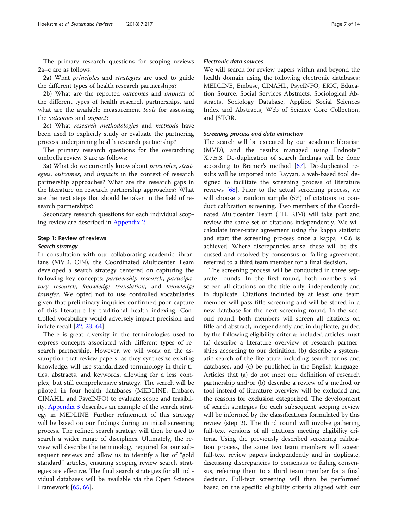The primary research questions for scoping reviews 2a–c are as follows:

2a) What principles and strategies are used to guide the different types of health research partnerships?

2b) What are the reported outcomes and impacts of the different types of health research partnerships, and what are the available measurement tools for assessing the outcomes and impact?

2c) What research methodologies and methods have been used to explicitly study or evaluate the partnering process underpinning health research partnership?

The primary research questions for the overarching umbrella review 3 are as follows:

3a) What do we currently know about principles, strategies, outcomes, and impacts in the context of research partnership approaches? What are the research gaps in the literature on research partnership approaches? What are the next steps that should be taken in the field of research partnerships?

Secondary research questions for each individual scoping review are described in [Appendix 2](#page-9-0).

# Step 1: Review of reviews

#### Search strategy

In consultation with our collaborating academic librarians (MVD, CJN), the Coordinated Multicenter Team developed a search strategy centered on capturing the following key concepts: partnership research, participatory research, knowledge translation, and knowledge transfer. We opted not to use controlled vocabularies given that preliminary inquiries confirmed poor capture of this literature by traditional health indexing. Controlled vocabulary would adversely impact precision and inflate recall [\[22](#page-11-0), [23,](#page-11-0) [64\]](#page-12-0).

There is great diversity in the terminologies used to express concepts associated with different types of research partnership. However, we will work on the assumption that review papers, as they synthesize existing knowledge, will use standardized terminology in their titles, abstracts, and keywords, allowing for a less complex, but still comprehensive strategy. The search will be piloted in four health databases (MEDLINE, Embase, CINAHL, and PsycINFO) to evaluate scope and feasibility. [Appendix 3](#page-10-0) describes an example of the search strategy in MEDLINE. Further refinement of this strategy will be based on our findings during an initial screening process. The refined search strategy will then be used to search a wider range of disciplines. Ultimately, the review will describe the terminology required for our subsequent reviews and allow us to identify a list of "gold standard" articles, ensuring scoping review search strategies are effective. The final search strategies for all individual databases will be available via the Open Science Framework [\[65,](#page-13-0) [66\]](#page-13-0).

#### Electronic data sources

We will search for review papers within and beyond the health domain using the following electronic databases: MEDLINE, Embase, CINAHL, PsycINFO, ERIC, Education Source, Social Services Abstracts, Sociological Abstracts, Sociology Database, Applied Social Sciences Index and Abstracts, Web of Science Core Collection, and JSTOR.

# Screening process and data extraction

The search will be executed by our academic librarian (MVD), and the results managed using Endnote™ X.7.5.3. De-duplication of search findings will be done according to Bramer's method [[67\]](#page-13-0). De-duplicated results will be imported into Rayyan, a web-based tool designed to facilitate the screening process of literature reviews [[68\]](#page-13-0). Prior to the actual screening process, we will choose a random sample (5%) of citations to conduct calibration screening. Two members of the Coordinated Multicenter Team (FH, KJM) will take part and review the same set of citations independently. We will calculate inter-rater agreement using the kappa statistic and start the screening process once a kappa  $\geq 0.6$  is achieved. Where discrepancies arise, these will be discussed and resolved by consensus or failing agreement, referred to a third team member for a final decision.

The screening process will be conducted in three separate rounds. In the first round, both members will screen all citations on the title only, independently and in duplicate. Citations included by at least one team member will pass title screening and will be stored in a new database for the next screening round. In the second round, both members will screen all citations on title and abstract, independently and in duplicate, guided by the following eligibility criteria: included articles must (a) describe a literature overview of research partnerships according to our definition, (b) describe a systematic search of the literature including search terms and databases, and (c) be published in the English language. Articles that (a) do not meet our definition of research partnership and/or (b) describe a review of a method or tool instead of literature overview will be excluded and the reasons for exclusion categorized. The development of search strategies for each subsequent scoping review will be informed by the classifications formulated by this review (step 2). The third round will involve gathering full-text versions of all citations meeting eligibility criteria. Using the previously described screening calibration process, the same two team members will screen full-text review papers independently and in duplicate, discussing discrepancies to consensus or failing consensus, referring them to a third team member for a final decision. Full-text screening will then be performed based on the specific eligibility criteria aligned with our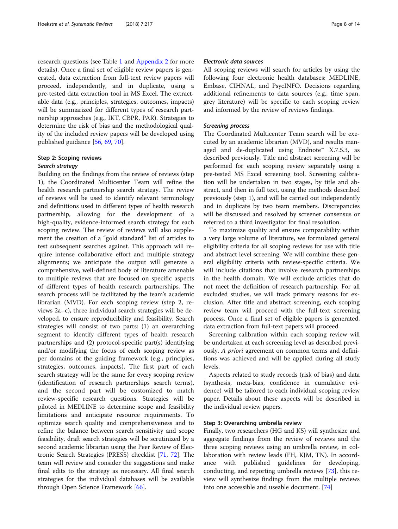research questions (see Table [1](#page-5-0) and [Appendix 2](#page-9-0) for more details). Once a final set of eligible review papers is generated, data extraction from full-text review papers will proceed, independently, and in duplicate, using a pre-tested data extraction tool in MS Excel. The extractable data (e.g., principles, strategies, outcomes, impacts) will be summarized for different types of research partnership approaches (e.g., IKT, CBPR, PAR). Strategies to determine the risk of bias and the methodological quality of the included review papers will be developed using published guidance [[56](#page-12-0), [69](#page-13-0), [70](#page-13-0)].

# Step 2: Scoping reviews Search strategy

Building on the findings from the review of reviews (step 1), the Coordinated Multicenter Team will refine the health research partnership search strategy. The review of reviews will be used to identify relevant terminology and definitions used in different types of health research partnership, allowing for the development of a high-quality, evidence-informed search strategy for each scoping review. The review of reviews will also supplement the creation of a "gold standard" list of articles to test subsequent searches against. This approach will require intense collaborative effort and multiple strategy alignments; we anticipate the output will generate a comprehensive, well-defined body of literature amenable to multiple reviews that are focused on specific aspects of different types of health research partnerships. The search process will be facilitated by the team's academic librarian (MVD). For each scoping review (step 2, reviews 2a–c), three individual search strategies will be developed, to ensure reproducibility and feasibility. Search strategies will consist of two parts: (1) an overarching segment to identify different types of health research partnerships and (2) protocol-specific part(s) identifying and/or modifying the focus of each scoping review as per domains of the guiding framework (e.g., principles, strategies, outcomes, impacts). The first part of each search strategy will be the same for every scoping review (identification of research partnerships search terms), and the second part will be customized to match review-specific research questions. Strategies will be piloted in MEDLINE to determine scope and feasibility limitations and anticipate resource requirements. To optimize search quality and comprehensiveness and to refine the balance between search sensitivity and scope feasibility, draft search strategies will be scrutinized by a second academic librarian using the Peer Review of Electronic Search Strategies (PRESS) checklist [\[71](#page-13-0), [72](#page-13-0)]. The team will review and consider the suggestions and make final edits to the strategy as necessary. All final search strategies for the individual databases will be available through Open Science Framework [[66\]](#page-13-0).

#### Electronic data sources

All scoping reviews will search for articles by using the following four electronic health databases: MEDLINE, Embase, CIHNAL, and PsycINFO. Decisions regarding additional refinements to data sources (e.g., time span, grey literature) will be specific to each scoping review and informed by the review of reviews findings.

#### Screening process

The Coordinated Multicenter Team search will be executed by an academic librarian (MVD), and results managed and de-duplicated using Endnote<sup>™</sup> X.7.5.3, as described previously. Title and abstract screening will be performed for each scoping review separately using a pre-tested MS Excel screening tool. Screening calibration will be undertaken in two stages, by title and abstract, and then in full text, using the methods described previously (step 1), and will be carried out independently and in duplicate by two team members. Discrepancies will be discussed and resolved by screener consensus or referred to a third investigator for final resolution.

To maximize quality and ensure comparability within a very large volume of literature, we formulated general eligibility criteria for all scoping reviews for use with title and abstract level screening. We will combine these general eligibility criteria with review-specific criteria. We will include citations that involve research partnerships in the health domain. We will exclude articles that do not meet the definition of research partnership. For all excluded studies, we will track primary reasons for exclusion. After title and abstract screening, each scoping review team will proceed with the full-text screening process. Once a final set of eligible papers is generated, data extraction from full-text papers will proceed.

Screening calibration within each scoping review will be undertaken at each screening level as described previously. A priori agreement on common terms and definitions was achieved and will be applied during all study levels.

Aspects related to study records (risk of bias) and data (synthesis, meta-bias, confidence in cumulative evidence) will be tailored to each individual scoping review paper. Details about these aspects will be described in the individual review papers.

#### Step 3: Overarching umbrella review

Finally, two researchers (HG and KS) will synthesize and aggregate findings from the review of reviews and the three scoping reviews using an umbrella review, in collaboration with review leads (FH, KJM, TN). In accordance with published guidelines for developing, conducting, and reporting umbrella reviews [[73\]](#page-13-0), this review will synthesize findings from the multiple reviews into one accessible and useable document. [[74\]](#page-13-0)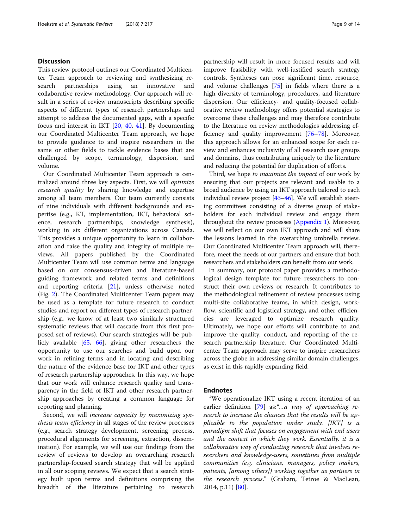# **Discussion**

This review protocol outlines our Coordinated Multicenter Team approach to reviewing and synthesizing research partnerships using an innovative and collaborative review methodology. Our approach will result in a series of review manuscripts describing specific aspects of different types of research partnerships and attempt to address the documented gaps, with a specific focus and interest in IKT [\[20](#page-11-0), [40](#page-12-0), [41](#page-12-0)]. By documenting our Coordinated Multicenter Team approach, we hope to provide guidance to and inspire researchers in the same or other fields to tackle evidence bases that are challenged by scope, terminology, dispersion, and volume.

Our Coordinated Multicenter Team approach is centralized around three key aspects. First, we will optimize research quality by sharing knowledge and expertise among all team members. Our team currently consists of nine individuals with different backgrounds and expertise (e.g., KT, implementation, IKT, behavioral science, research partnerships, knowledge synthesis), working in six different organizations across Canada. This provides a unique opportunity to learn in collaboration and raise the quality and integrity of multiple reviews. All papers published by the Coordinated Multicenter Team will use common terms and language based on our consensus-driven and literature-based guiding framework and related terms and definitions and reporting criteria [[21](#page-11-0)], unless otherwise noted (Fig. [2\)](#page-4-0). The Coordinated Multicenter Team papers may be used as a template for future research to conduct studies and report on different types of research partnership (e.g., we know of at least two similarly structured systematic reviews that will cascade from this first proposed set of reviews). Our search strategies will be publicly available [[65](#page-13-0), [66](#page-13-0)], giving other researchers the opportunity to use our searches and build upon our work in refining terms and in locating and describing the nature of the evidence base for IKT and other types of research partnership approaches. In this way, we hope that our work will enhance research quality and transparency in the field of IKT and other research partnership approaches by creating a common language for reporting and planning.

Second, we will increase capacity by maximizing synthesis team efficiency in all stages of the review processes (e.g., search strategy development, screening process, procedural alignments for screening, extraction, dissemination). For example, we will use our findings from the review of reviews to develop an overarching research partnership-focused search strategy that will be applied in all our scoping reviews. We expect that a search strategy built upon terms and definitions comprising the breadth of the literature pertaining to research

partnership will result in more focused results and will improve feasibility with well-justified search strategy controls. Syntheses can pose significant time, resource, and volume challenges [[75\]](#page-13-0) in fields where there is a high diversity of terminology, procedures, and literature dispersion. Our efficiency- and quality-focused collaborative review methodology offers potential strategies to overcome these challenges and may therefore contribute to the literature on review methodologies addressing efficiency and quality improvement [\[76](#page-13-0)–[78\]](#page-13-0). Moreover, this approach allows for an enhanced scope for each review and enhances inclusivity of all research user groups and domains, thus contributing uniquely to the literature and reducing the potential for duplication of efforts.

Third, we hope to maximize the impact of our work by ensuring that our projects are relevant and usable to a broad audience by using an IKT approach tailored to each individual review project [[43](#page-12-0)–[46\]](#page-12-0). We will establish steering committees consisting of a diverse group of stakeholders for each individual review and engage them throughout the review processes [\(Appendix 1](#page-9-0)). Moreover, we will reflect on our own IKT approach and will share the lessons learned in the overarching umbrella review. Our Coordinated Multicenter Team approach will, therefore, meet the needs of our partners and ensure that both researchers and stakeholders can benefit from our work.

In summary, our protocol paper provides a methodological design template for future researchers to construct their own reviews or research. It contributes to the methodological refinement of review processes using multi-site collaborative teams, in which design, workflow, scientific and logistical strategy, and other efficiencies are leveraged to optimize research quality. Ultimately, we hope our efforts will contribute to and improve the quality, conduct, and reporting of the research partnership literature. Our Coordinated Multicenter Team approach may serve to inspire researchers across the globe in addressing similar domain challenges, as exist in this rapidly expanding field.

# **Endnotes**

<sup>1</sup>We operationalize IKT using a recent iteration of an earlier definition  $[79]$  $[79]$  as:"...a way of approaching research to increase the chances that the results will be applicable to the population under study. [IKT] is a paradigm shift that focuses on engagement with end users and the context in which they work. Essentially, it is a collaborative way of conducting research that involves researchers and knowledge-users, sometimes from multiple communities (e.g. clinicians, managers, policy makers, patients, [among others]) working together as partners in the research process." (Graham, Tetroe & MacLean, 2014, p.11) [[80\]](#page-13-0).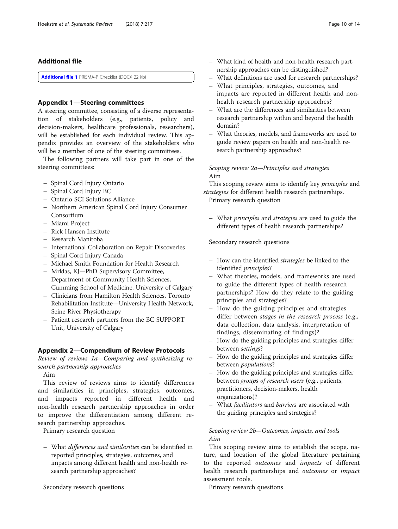# <span id="page-9-0"></span>Additional file

[Additional file 1](https://doi.org/10.1186/s13643-018-0879-2) PRISMA-P Checklist (DOCX 22 kb)

# Appendix 1—Steering committees

A steering committee, consisting of a diverse representation of stakeholders (e.g., patients, policy and decision-makers, healthcare professionals, researchers), will be established for each individual review. This appendix provides an overview of the stakeholders who will be a member of one of the steering committees.

The following partners will take part in one of the steering committees:

- Spinal Cord Injury Ontario
- Spinal Cord Injury BC
- Ontario SCI Solutions Alliance
- Northern American Spinal Cord Injury Consumer Consortium
- Miami Project
- Rick Hansen Institute
- Research Manitoba
- International Collaboration on Repair Discoveries
- Spinal Cord Injury Canada
- Michael Smith Foundation for Health Research
- Mrklas, KJ—PhD Supervisory Committee,
- Department of Community Health Sciences, Cumming School of Medicine, University of Calgary
- Clinicians from Hamilton Health Sciences, Toronto Rehabilitation Institute—University Health Network, Seine River Physiotherapy
- Patient research partners from the BC SUPPORT Unit, University of Calgary

### Appendix 2—Compendium of Review Protocols

Review of reviews 1a—Comparing and synthesizing research partnership approaches

Aim

This review of reviews aims to identify differences and similarities in principles, strategies, outcomes, and impacts reported in different health and non-health research partnership approaches in order to improve the differentiation among different research partnership approaches.

Primary research question

– What differences and similarities can be identified in reported principles, strategies, outcomes, and impacts among different health and non-health research partnership approaches?

Secondary research questions

- What kind of health and non-health research partnership approaches can be distinguished?
- What definitions are used for research partnerships?
- What principles, strategies, outcomes, and impacts are reported in different health and nonhealth research partnership approaches?
- What are the differences and similarities between research partnership within and beyond the health domain?
- What theories, models, and frameworks are used to guide review papers on health and non-health research partnership approaches?

# Scoping review 2a—Principles and strategies Aim

This scoping review aims to identify key principles and strategies for different health research partnerships.

Primary research question

– What principles and strategies are used to guide the different types of health research partnerships?

Secondary research questions

- How can the identified strategies be linked to the identified principles?
- What theories, models, and frameworks are used to guide the different types of health research partnerships? How do they relate to the guiding principles and strategies?
- How do the guiding principles and strategies differ between stages in the research process (e.g., data collection, data analysis, interpretation of findings, disseminating of findings)?
- How do the guiding principles and strategies differ between settings?
- How do the guiding principles and strategies differ between populations?
- How do the guiding principles and strategies differ between groups of research users (e.g., patients, practitioners, decision-makers, health organizations)?
- What *facilitators* and *barriers* are associated with the guiding principles and strategies?

# Scoping review 2b—Outcomes, impacts, and tools Aim

This scoping review aims to establish the scope, nature, and location of the global literature pertaining to the reported *outcomes* and *impacts* of different health research partnerships and outcomes or impact assessment tools.

Primary research questions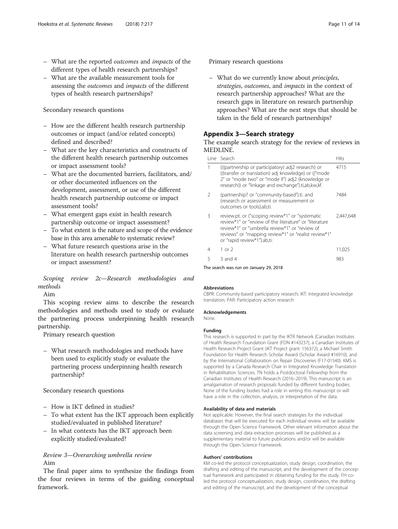- <span id="page-10-0"></span>– What are the reported outcomes and impacts of the different types of health research partnerships?
- What are the available measurement tools for assessing the outcomes and impacts of the different types of health research partnerships?

# Secondary research questions

- How are the different health research partnership outcomes or impact (and/or related concepts) defined and described?
- What are the key characteristics and constructs of the different health research partnership outcomes or impact assessment tools?
- What are the documented barriers, facilitators, and/ or other documented influences on the development, assessment, or use of the different health research partnership outcome or impact assessment tools?
- What emergent gaps exist in health research partnership outcome or impact assessment?
- To what extent is the nature and scope of the evidence base in this area amenable to systematic review?
- What future research questions arise in the literature on health research partnership outcomes or impact assessment?

Scoping review 2c—Research methodologies and methods

# Aim

This scoping review aims to describe the research methodologies and methods used to study or evaluate the partnering process underpinning health research partnership.

Primary research question

– What research methodologies and methods have been used to explicitly study or evaluate the partnering process underpinning health research partnership?

Secondary research questions

- How is IKT defined in studies?
- To what extent has the IKT approach been explicitly studied/evaluated in published literature?
- In what contexts has the IKT approach been explicitly studied/evaluated?

# Review 3—Overarching umbrella review Aim

The final paper aims to synthesize the findings from the four reviews in terms of the guiding conceptual framework.

Primary research questions

– What do we currently know about principles, strategies, outcomes, and impacts in the context of research partnership approaches? What are the research gaps in literature on research partnership approaches? What are the next steps that should be taken in the field of research partnerships?

# Appendix 3—Search strategy

The example search strategy for the review of reviews in MEDLINE.

|   | Line Search                                                                                                                                                                                                                                         | Hits      |
|---|-----------------------------------------------------------------------------------------------------------------------------------------------------------------------------------------------------------------------------------------------------|-----------|
|   | (((partnership or participatory) adj2 research) or<br>((transfer or translation) adj knowledge) or (("mode<br>2" or "mode two" or "mode II") adj2 (knowledge or<br>research)) or "linkage and exchange").ti,ab,kw,kf.                               | 4715      |
| 2 | (partnership? or "community-based").ti. and<br>(research or assessment or measurement or<br>outcomes or tools).ab,ti.                                                                                                                               | 7484      |
| Β | review.pt. or ("scoping review*1" or "systematic<br>review*1" or "review of the literature" or "literature<br>review*1" or "umbrella review*1" or "review of<br>reviews" or "mapping review*1" or "realist review*1"<br>or "rapid review*1").ab,ti. | 2.447.648 |
| 4 | 1 or 2                                                                                                                                                                                                                                              | 11.025    |
| 5 | 3 and 4                                                                                                                                                                                                                                             | 983       |
|   |                                                                                                                                                                                                                                                     |           |

The search was run on January 29, 2018

#### Abbreviations

CBPR: Community-based participatory research; IKT: Integrated knowledge translation; PAR: Participatory action research

#### Acknowledgements

None.

#### Funding

This research is supported in part by the IKTR Network (Canadian Institutes of Health Research Foundation Grant (FDN #143237), a Canadian Institutes of Health Research Project Grant (iKT Project grant: 156372), a Michael Smith Foundation for Health Research Scholar Award (Scholar Award #16910), and by the International Collaboration on Repair Discoveries (F17-01540). KMS is supported by a Canada Research Chair in Integrated Knowledge Translation in Rehabilitation Sciences. TN holds a Postdoctoral Fellowship from the Canadian Institutes of Health Research (2016–2019). This manuscript is an amalgamation of research proposals funded by different funding bodies. None of the funding bodies had a role in writing this manuscript or will have a role in the collection, analysis, or interpretation of the data.

#### Availability of data and materials

Not applicable. However, the final search strategies for the individual databases that will be executed for each individual review will be available through the Open Science Framework. Other relevant information about the data screening and data extraction processes will be published as a supplementary material to future publications and/or will be available through the Open Science Framework.

#### Authors' contributions

KM co-led the protocol conceptualization, study design, coordination, the drafting and editing of the manuscript, and the development of the conceptual framework and participated in obtaining funding for the study. FH coled the protocol conceptualization, study design, coordination, the drafting and editing of the manuscript, and the development of the conceptual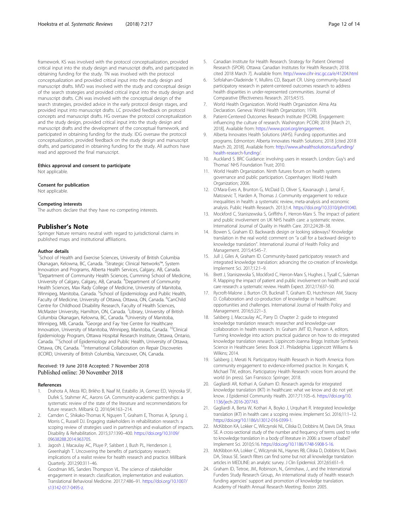<span id="page-11-0"></span>framework. KS was involved with the protocol conceptualization, provided critical input into the study design and manuscript drafts, and participated in obtaining funding for the study. TN was involved with the protocol conceptualization and provided critical input into the study design and manuscript drafts. MVD was involved with the study and conceptual design of the search strategies and provided critical input into the study design and manuscript drafts. CJN was involved with the conceptual design of the search strategies, provided advice in the early protocol design stages, and provided input into manuscript drafts. LC provided feedback on protocol concepts and manuscript drafts. HG oversaw the protocol conceptualization and the study design, provided critical input into the study design and manuscript drafts and the development of the conceptual framework, and participated in obtaining funding for the study. IDG oversaw the protocol conceptualization, provided feedback on the study design and manuscript drafts, and participated in obtaining funding for the study. All authors have read and approved the final manuscript.

#### Ethics approval and consent to participate Not applicable.

Consent for publication

Not applicable.

#### Competing interests

The authors declare that they have no competing interests.

### Publisher's Note

Springer Nature remains neutral with regard to jurisdictional claims in published maps and institutional affiliations.

#### Author details

<sup>1</sup>School of Health and Exercise Sciences, University of British Columbia Okanagan, Kelowna, BC, Canada. <sup>2</sup>Strategic Clinical Networks™, System Innovation and Programs, Alberta Health Services, Calgary, AB, Canada. <sup>3</sup>Department of Community Health Sciences, Cumming School of Medicine, University of Calgary, Calgary, AB, Canada. <sup>4</sup>Department of Community Health Sciences, Max Rady College of Medicine, University of Manitoba, Winnipeg, Manitoba, Canada. <sup>5</sup>School of Epidemiology and Public Health, Faculty of Medicine, University of Ottawa, Ottawa, ON, Canada. <sup>6</sup>CanChild Centre for Childhood Disability Research, Faculty of Health Sciences, McMaster University, Hamilton, ON, Canada. <sup>7</sup> Library, University of British Columbia Okanagan, Kelowna, BC, Canada. <sup>8</sup>University of Manitoba, Winnipeg, MB, Canada. <sup>9</sup>George and Fay Yee Centre for Healthcare Innovation, University of Manitoba, Winnipeg, Manitoba, Canada. <sup>10</sup>Clinical Epidemiology Program, Ottawa Hospital Research Institute, Ottawa, Ontario, Canada. 11School of Epidemiology and Public Health, University of Ottawa, Ottawa, ON, Canada. <sup>12</sup>International Collaboration on Repair Discoveries (ICORD, University of British Columbia, Vancouver, ON, Canada.

#### Received: 19 June 2018 Accepted: 7 November 2018 Published online: 30 November 2018

#### References

- 1. Drahota A, Meza RD, Brikho B, Naaf M, Estabillo JA, Gomez ED, Vejnoska SF, Dufek S, Stahmer AC, Aarons GA. Community-academic partnerships: a systematic review of the state of the literature and recommendations for future research. Milbank Q. 2016;94:163–214.
- Camden C, Shikako-Thomas K, Nguyen T, Graham E, Thomas A, Sprung J, Morris C, Russell DJ. Engaging stakeholders in rehabilitation research: a scoping review of strategies used in partnerships and evaluation of impacts. Disability & Rehabilitation. 2015;37:1390–400. [https://doi.org/10.3109/](https://doi.org/10.3109/09638288.2014.963705) [09638288.2014.963705](https://doi.org/10.3109/09638288.2014.963705).
- 3. Jagosh J, Macaulay AC, Pluye P, Salsbert J, Bush PL, Henderson J, Greenhalgh T. Uncovering the benefits of participatory research: implications of a realist review for health research and practice. Millbank Quarterly. 2012;90:311–46.
- 4. Goodman MS, Sanders Thompson VL. The science of stakeholder engagement in research: classification, implementation and evaluation. Translational Behavioral Medicine. 2017;7:486–91. [https://doi.org/10.1007/](https://doi.org/10.1007/s13142-017-0495-z) [s13142-017-0495-z](https://doi.org/10.1007/s13142-017-0495-z).
- 5. Canadian Institute for Health Research. Strategy for Patient Oriented Research (SPOR). Ottawa: Canadian Institutes for Health Research; 2018. cited 2018 March 7]. Available from: <http://www.cihr-irsc.gc.ca/e/41204.html>
- 6. Sofolahan-Oladeinde Y, Mullins CD, Baquet CR. Using community-based participatory research in patent-centered outcomes research to address health disparities in under-represented communities. Journal of Comparative Effectiveness Research. 2015;4:515.
- 7. World Health Organization. World Health Organization Alma Ata Declaration. Geneva: World Health Organization; 1978.
- 8. Patient-Centered Outcomes Research Institute (PCORI). Engagement: influencing the culture of research. Washington: PCORI; 2018 [March 21, 2018]. Available from: <https://www.pcori.org/engagement>.
- 9. Alberta Innovates Health Solutions (AIHS). Funding opportunities and programs. Edmonton: Alberta Innovates Health Solutions; 2018 [cited 2018 March 20, 2018]. Available from: [http://www.aihealthsolutions.ca/funding/](http://www.aihealthsolutions.ca/funding/health-research-funding/) [health-research-funding/](http://www.aihealthsolutions.ca/funding/health-research-funding/).
- 10. Auckland S. BRC Guidance: involving users in research. London: Guy's and Thomas' NHS Foundation Trust; 2010.
- 11. World Health Organization. Ninth futures forum on health systems governance and public participation. Copenhagen: World Health Organization; 2006.
- 12. O'Mara-Eves A, Brunton G, McDaid D, Oliver S, Kavanaugh J, Jamal F, Matosevic T, Harden A, Thomas J. Community engagement to reduce inequalities in health: a systematic review, meta-analysis and economic analysis. Public Health Research. 2013;1:4. <https://doi.org/10.3310/phr01040>.
- 13. Mockford C, Staniszewska S, Griffiths F, Herron-Marx S. The impact of patient and public involvement on UK NHS health care: a systematic review. International Journal of Quality in Health Care. 2012;24:28–38.
- 14. Bowen S, Graham ID. Backwards design or looking sideways? Knowledge translation in the real world: comment on "a call for a backward design to knowledge translation". International Journal of Health Policy and Management. 2015;4:545–7.
- 15. Jull J, Giles A, Graham ID. Community-based participatory research and integrated knowledge translation: advancing the co-creation of knowledge. Implement Sci. 2017;12:1–9.
- 16. Brett J, Staniszewska S, Mockford C, Herron-Marx S, Hughes J, Tysall C, Suleman R. Mapping the impact of patient and public involvement on health and social care research: a systematic review. Health Expect. 2012;17:637–50.
- 17. Rycroft-Malone J, Burton CR, Bucknall T, Graham ID, Hutchinson AM, Stacey D. Collaboration and co-production of knowledge in healthcare: opportunities and challenges. International Journal of Health Policy and Management. 2016;5:221–3.
- 18. Salsberg J, Maccaulay AC, Parry D. Chapter 2: guide to integrated knowledge translation research: researcher and knowledge-user collaboration in health research. In: Graham JMT ID, Pearson A, editors. Turning knowledge into action: practical guidance on how to do integrated knowledge translation research. Lippincott-Joanna Briggs Institute Synthesis Science in Healthcare Series: Book 21. Philadelphia: Lippincott Williams & Wilkins; 2014.
- 19. Salsberg J, Merati N. Participatory Health Research in North America: from community engagement to evidence-informed practice. In: Kongats K, Michael TW, editors. Participatory Health Research: voices from around the world (in press). San Fransisco: Springer; 2018.
- 20. Gagliardi AR, Kothari A, Graham ID. Research agenda for integrated knowledge translation (IKT) in healthcare: what we know and do not yet know. J Epidemiol Community Health. 2017;71:105–6. [https://doi.org/10.](https://doi.org/10.1136/jech-2016-207743) [1136/jech-2016-207743.](https://doi.org/10.1136/jech-2016-207743)
- 21. Gagliardi A, Berta W, Kothari A, Boyko J, Urquhart R. Integrated knowledge translation (iKT) in health care: a scoping review. Implement Sci. 2016;11:1–12. <https://doi.org/10.1186/s13012-016-0399-1>.
- 22. McKibbon KA, Lokker C, Wilczynski NL, Ciliska D, Dobbins M, Davis DA, Straus SE. A cross-sectional study of the number and frequency of terms used to refer to knowledge translation in a body of literature in 2006: a tower of babel? Implement Sci. 2010;5:16. [https://doi.org/10.1186/1748-5908-5-16.](https://doi.org/10.1186/1748-5908-5-16)
- 23. McKibbon KA, Lokker C, Wilczynski NL, Haynes RB, Ciliska D, Dobbins M, Davis DA, Straus SE. Search filters can find some but not all knowledge translation articles in MEDLINE: an analytic survey. J Clin Epidemiol. 2012;65:651–9.
- 24. Graham ID, Tetroe, JM., Robinson, N., Grimshaw, J., and the International Funders Study Research Group,. An international study of health research funding agencies' support and promotion of knowledge translation. Academy of Health Annual Research Meeting; Boston 2005.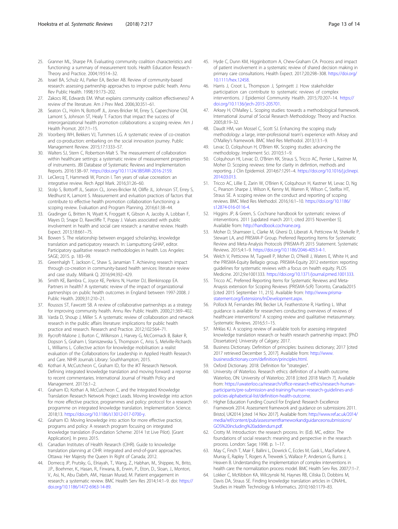- <span id="page-12-0"></span>25. Granner ML, Sharpe PA. Evaluating community coalition characteristics and functioning: a summary of measurement tools. Health Education Research - Theory and Practice. 2004;19:514–32.
- 26. Israel BA, Schulz AJ, Parker EA, Becker AB. Review of community-based research: assessing partnership approaches to improve public heath. Annu Rev Public Health. 1998;19:173–202.
- 27. Zakocs RE, Edwards EM. What explains community coalition effectiveness? A review of the literature. Am J Prev Med. 2006;30:351–61.
- 28. Seaton CL, Holm N, Bottorff JL, Jones-Bricker M, Errey S, Caperchione CM, Lamont S, Johnson ST, Healy T. Factors that impact the success of interorganizational health promotion collaborations: a scoping review. Am J Health Promot. 2017:1–15.
- 29. Voorberg WH, Bekkers VJ, Tummers LG. A systematic review of co-creation and co-production: embarking on the social innovation journey. Public Management Review. 2015;17:1333–57.
- 30. Walters SJ, Stern C, Robertson-Malt S. The measurement of collaboration within healthcare settings: a systematic review of measurement properties of instruments. JBI Database of Systematic Reviews and Implementation Reports. 2016:138–97. [https://doi.org/10.11124/JBISRIR-2016-2159.](https://doi.org/10.11124/JBISRIR-2016-2159)
- 31. LeClercq T, Hammedi W, Poncin I. Ten years of value cocreation: an integrative review. Rech Appl Mark. 2016;31:26–60.
- 32. Stolp S, Bottorff JL, Seaton CL, Jones-Bricker M, Oliffe JL, Johnson ST, Errey S, Medhurst K, Lamont S. Measurement and evluation practices of factors that contribute to effective health promotion collaboration functioning: a scoping review. Evaluation and Program Planning. 2016;61:38–44.
- 33. Gradinger G, Britten N, Wyatt K, Froggatt K, Gibson A, Jacoby A, Lobban F, Mayes D, Snape D, Rawcliffe T, Popay J. Values associated with public involvement in health and social care research: a narrative review. Health Expect. 2013;18:661–75.
- 34. Bowen S. The relationship between engaged scholarship, knowledge translation and participatory research. In: Liamputtong GHAP, editor. Participatory qualitative research methodologies in health. Los Angeles: SAGE; 2015. p. 183–99.
- 35. Greenhalgh T, Jackson C, Shaw S, Janamian T. Achieving research impact through co-creation in community-based health services: literature review and case study. Milbank Q. 2016;94:392–429.
- 36. Smith KE, Bambra C, Joyce KE, Perkins N, Hunter DJ, Blenkinsopp EA. Partners in health? A systematic review of the impact of organizational partnerships on public health outcomes in England between 1997-2008. J Public Health. 2009;31:210–21.
- 37. Roussos ST, Fawcett SB. A review of collaborative partnerships as a strategy for improving community health. Annu Rev Public Health. 2000;21:369–402.
- 38. Varda D, Shoup J, Miller S. A systematic review of collaboration and network research in the public affairs literature: implications for public health practice and research. Research and Practice. 2012;102:564–71.
- 39. Rycroft-Malone J, Burton C, Wilkinson J, Harvey G, McCormack B, Baker R, Dopson S, Graham I, Staniszewska S, Thompson C, Ariss S, Melville-Richards L, Williams L. Collective action for knowledge mobilisation: a realist evaluation of the Collaborations for Leadership in Applied Health Research and Care. NIHR Journals Library: Southhampton; 2015.
- 40. Kothari A, McCutcheon C, Graham ID, for the iKT Research Network. Defining integrated knowledge translation and moving forward: a reponse to recent commentaries. International Journal of Health Policy and Management. 2017;6:1–2.
- 41. Graham ID, Kothari A, McCutcheon C, and the Integrated Knowledge Translation Research Network Project Leads. Moving knowledge into action for more effective practice, programmes and policy: protocol for a research programme on integrated knowledge translation. Implementation Science. 2018;13. [https://doi.org/10.1186/s13012-017-0700-y.](https://doi.org/10.1186/s13012-017-0700-y)
- 42. Graham ID. Moving knowledge into action for more effective practice, programs and policy: A research program focusing on integrated knowledge translation (Foundation Scheme: 2014 1st Live Pilot). [Grant Application]. In press 2015.
- 43. Canadian Institutes of Health Research (CIHR). Guide to knowledge translation planning at CIHR: integrated and end-of-grant approaches. Ottawa: Her Majesty the Queen In Right of Canada; 2012.
- 44. Domecq JP, Prutsky, G., Elriayah, T., Wang, Z., Habhan, M., Shippee, N., Brito, J.P., Boehmer, K., Hasan, R., Firwana, B., Erwin, P., Eton, D., Sloan, J., Montori, V., Asi, N., Abu Dabrh, AM., Hassan Murad, M. Patient engagement in research: a systematic review. BMC Health Serv Res 2014;14:1–9. doi: [https://](https://doi.org/10.1186/1472-6963-14-89) [doi.org/10.1186/1472-6963-14-89](https://doi.org/10.1186/1472-6963-14-89).
- 45. Hyde C, Dunn KM, Higginbottom A, Chew-Graham CA. Process and impact of patient involvement in a systematic review of shared decision making in primary care consultations. Health Expect. 2017;20:298–308. [https://doi.org/](https://doi.org/10.1111/hex.12458) [10.1111/hex.12458](https://doi.org/10.1111/hex.12458).
- 46. Harris J, Croot L, Thompson J, Springett J. How stakeholder participation can contribute to systematic reviews of complex interventions. J Epidemiol Community Health. 2015;70:207–14. [https://](https://doi.org/10.1136/jech-2015-205701) [doi.org/10.1136/jech-2015-205701](https://doi.org/10.1136/jech-2015-205701).
- 47. Arksey H, O'Malley L. Scoping studies: towards a methodological framework. International Journal of Social Research Methodology: Theory and Practice. 2005;8:19–32.
- 48. Daudt HM, van Mossel C, Scott SJ. Enhancing the scoping study methodology: a large, inter-professional team's experience with Arksey and O'Malley's framework. BMC Med Res Methodol. 2013;13:1–9.
- 49. Levac D, Colquhoun H, O'Brien KK. Scoping studies: advancing the methodology. Implement Sci. 2010;5:1–9.
- 50. Colquhoun HI, Levac D, O'Brien KK, Straus S, Tricco AC, Perrier L, Kastner M, Moher D. Scoping reviews: time for clarity in defintion, methods and reporting. J Clin Epidemiol. 2014;67:1291–4. [https://doi.org/10.1016/j.jclinepi.](https://doi.org/10.1016/j.jclinepi.2014.03.013) [2014.03.013.](https://doi.org/10.1016/j.jclinepi.2014.03.013)
- 51. Tricco AC, Lillie E, Zarin W, O'Brien K, Colquhoun H, Kastner M, Levac D, Ng C, Pearson Sharpe J, Wilson K, Kenny M, Warren R, Wilson C, Stelfox HT, Straus SE. A scoping review on the conduct and reporting of scoping reviews. BMC Med Res Methodol. 2016;16:1–10. [https://doi.org/10.1186/](https://doi.org/10.1186/s12874-016-0116-4) [s12874-016-0116-4.](https://doi.org/10.1186/s12874-016-0116-4)
- 52. Higgins JP, & Green, S. Cochrane handbook for systematic reviews of interventions. 2011 [updated march 2011; cited 2015 November 5]. Available from: [http://handbook.cochrane.org.](http://handbook.cochrane.org)
- 53. Moher D, Shamseer L, Clarke M, Ghersi D, Liberati A, Petticrew M, Shekelle P, Stewart LA, and PRISMA-P Group. Preferred Reporting Items for Systematic Review and Meta-Analysis Protocols (PRISMA-P) 2015 Statement. Systematic Reviews. 2015;4:1–9. [https://doi.org/10.1186/2046-4053-4-1.](https://doi.org/10.1186/2046-4053-4-1)
- 54. Welch V, Petticrew M, Tugwell P, Moher D, O'Neill J, Waters E, White H, and the PRISMA-Equity Bellagio group. PRISMA-Equity 2012 extention: reporting guidelines for systematic reviews with a focus on health equity. PLOS Medicine. 2012;9:e1001333. <https://doi.org/10.1371/journal.pmed.1001333>.
- 55. Tricco AC. Preferred Reporting Items for Systematic Reviews and Meta-Anaysis extension for Scoping Reviews (PRISMA-ScR) Toronto, Canada2015 [cited 2015 September 11, 215]. Available from: [http://www.prisma](http://www.prisma-statement.org/Extensions/InDevelopment.aspx)[statement.org/Extensions/InDevelopment.aspx](http://www.prisma-statement.org/Extensions/InDevelopment.aspx).
- 56. Pollock M, Fernandes RM, Becker LA, Featherstone R, Hartling L. What guidance is available for researchers conducting overviews of reviews of healthcare interventions? A scoping review and qualitative metasummary. Systematic Reviews. 2016;5:1–15.
- 57. Mrklas KJ. A scoping review of available tools for assessing integrated knowledge translation research or health research partnership impact. [PhD Dissertation]: University of Calgary; 2017.
- 58. Business Dictionary. Definition of principles: business dictionary; 2017 [cited 2017 retrieved December 5, 2017]. Available from: [http://www.](http://www.businessdictionary.com/definition/principles.html) [businessdictionary.com/definition/principles.html](http://www.businessdictionary.com/definition/principles.html).
- 59. Oxford Dictionary. 2018. Definition for "strategies".
- 60. University of Waterloo. Research ethics: definition of a health outcome. Waterloo, ON: University of Waterloo; 2018 [cited 2018 March 7]. Available from: [https://uwaterloo.ca/research/office-research-ethics/research-human](https://uwaterloo.ca/research/office-research-ethics/research-human-participants/pre-submission-and-training/human-research-guidelines-and-policies-alphabetical-list/definition-health-outcome)[participants/pre-submission-and-training/human-research-guidelines-and](https://uwaterloo.ca/research/office-research-ethics/research-human-participants/pre-submission-and-training/human-research-guidelines-and-policies-alphabetical-list/definition-health-outcome)[policies-alphabetical-list/definition-health-outcome](https://uwaterloo.ca/research/office-research-ethics/research-human-participants/pre-submission-and-training/human-research-guidelines-and-policies-alphabetical-list/definition-health-outcome).
- 61. Higher Education Funding Council for England: Research Excellence Framework 2014. Assessment framework and guidance on submissions 2011. Bristol, UK2014 [cited 14 Nov 2017]. Available from: [http://www.ref.ac.uk/2014/](http://www.ref.ac.uk/2014/media/ref/content/pub/assessmentframeworkandguidanceonsubmissions/GOS%20including%20addendum.pdf) [media/ref/content/pub/assessmentframeworkandguidanceonsubmissions/](http://www.ref.ac.uk/2014/media/ref/content/pub/assessmentframeworkandguidanceonsubmissions/GOS%20including%20addendum.pdf) [GOS%20including%20addendum.pdf](http://www.ref.ac.uk/2014/media/ref/content/pub/assessmentframeworkandguidanceonsubmissions/GOS%20including%20addendum.pdf).
- 62. Crotty M. Introduction: the research process. In: (Ed). MC, editor. The foundations of social research: meaning and perspective in the research process. London: Sage; 1998. p. 1–17.
- 63. May C, Finch T, Mair F, Ballini L, Dowrick C, Eccles M, Gask L, MacFarlane A, Murray E, Rapley T, Rogers A, Treweek S, Wallace P, Anderson G, Burns J, Heaven B. Understanding the implementation of complex interventions in health care: the normalization process model. BMC Health Serv Res. 2007;7:1–7.
- 64. Lokker C, McKibbon KA, Wilczynski NI, Haynes RB, Ciliska D, Dobbins M, Davis DA, Straus SE. Finding knowledge translation articles in CINAHL. Studies in Health Technology & Informatics. 2010;160:1179–83.